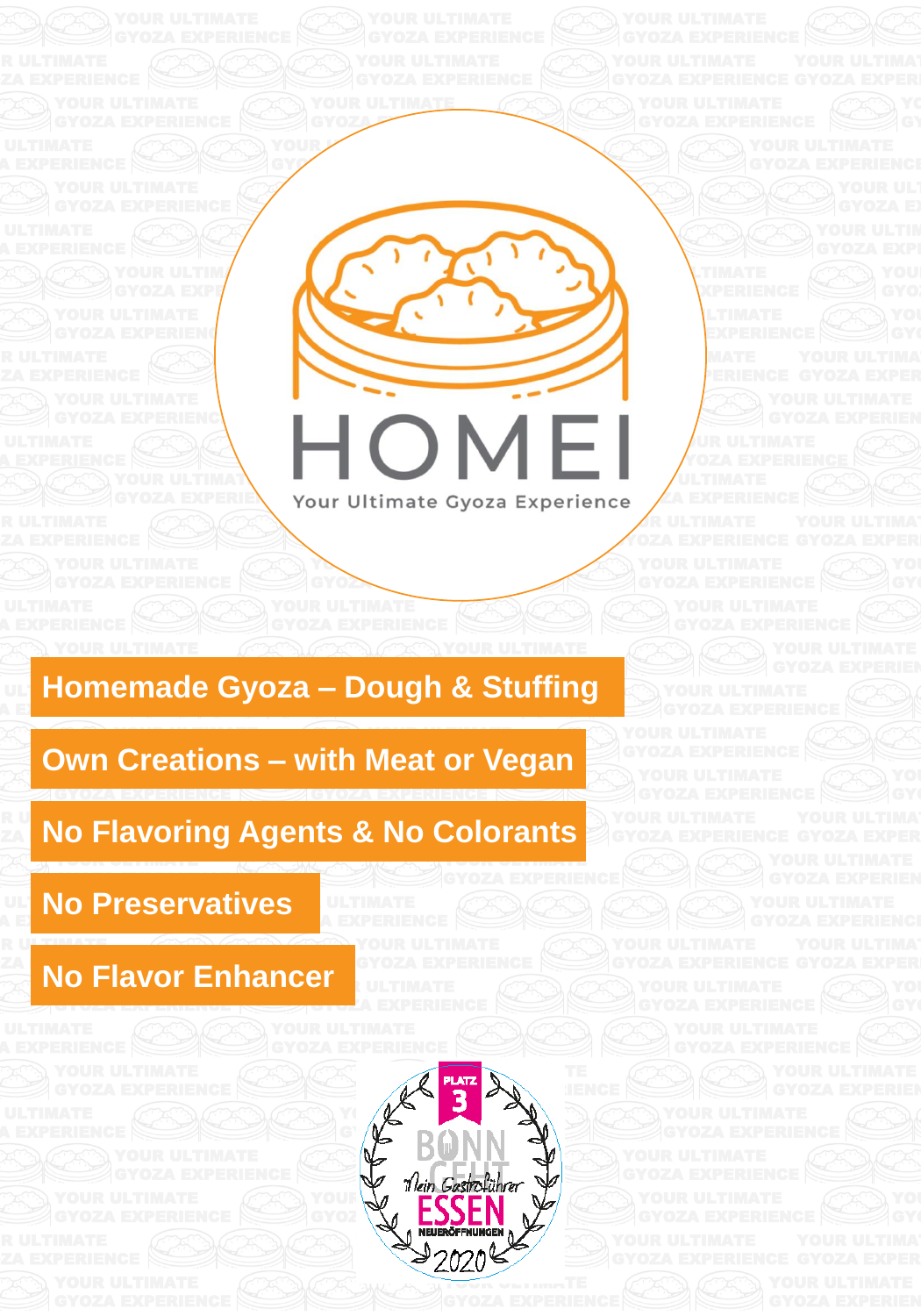

YOUR ULTIMATE

#### ULTIMOT A EXPERIMENT Dougn & GYOZA EXPERIENCE **Homemade Gyoza – Dough & Stuffing**

your vivanche wind were a YOUR ULTIMATE **Own Creations – with Meat or Vegan** YOUR ULTIMATE WAS ARRESTED FOR

#### RU <sub>bi</sub> j  $\mathbb{Z}$ y no Fia  $\sim$   $\sim$   $\sim$ **No Flavoring Agents & No Colorants**

GYOZA EXPERIENCE

GTOZA EXPERIENCE

ULTIMAT AEXPERIENCE **No Preservatives** GYOZA EXPERIENCE

GYOZA EXPERIENCE

GYOZA EXPERIENCE

YOUR ULTIMATE AND ULTIMATE GYOZA EXPERIENCE

R ULTIMATE

## YOU KIVOL LIIHAH VULTIMATE **No Flavor Enhancer**



YOUR ULTIMATE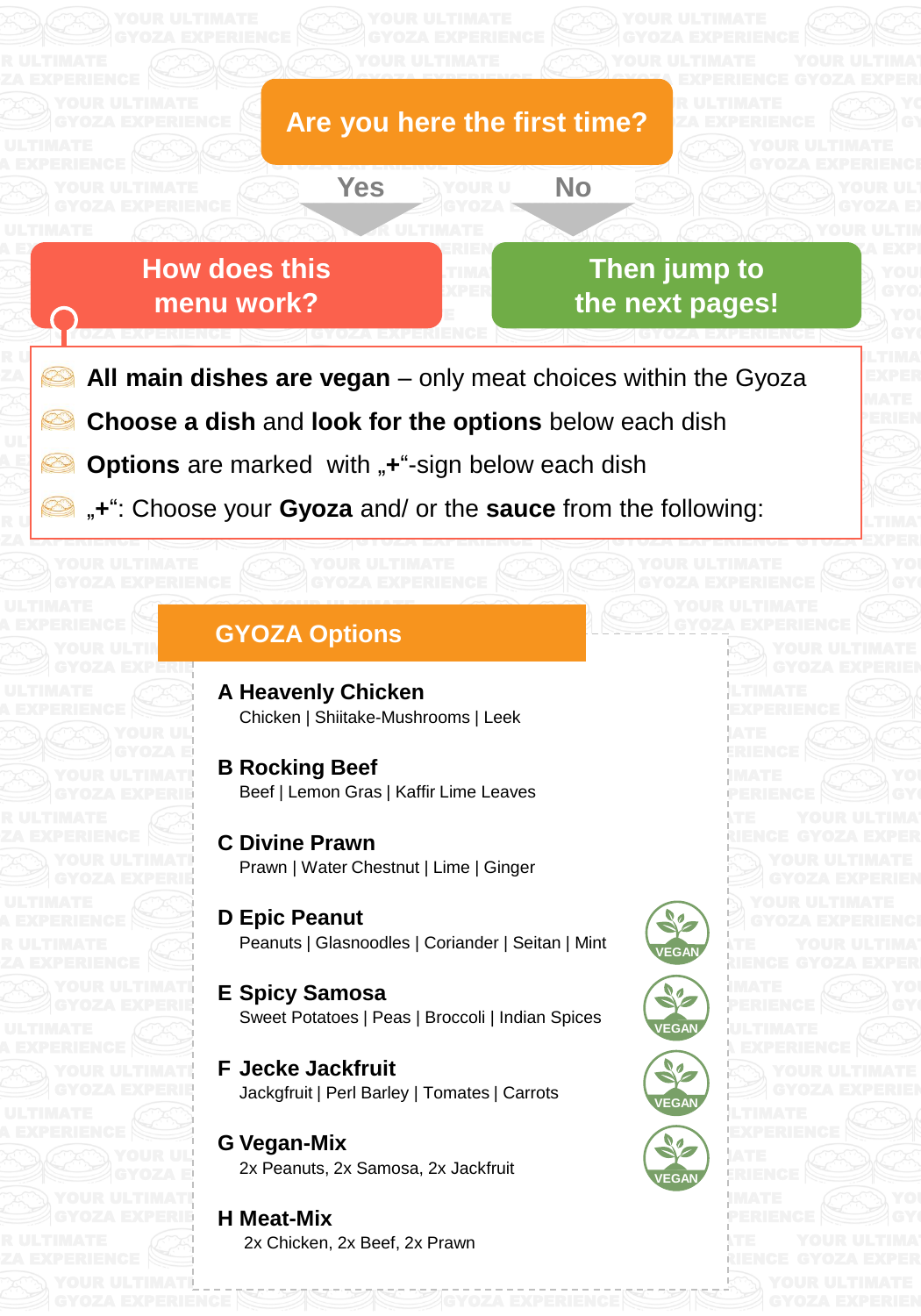

GYOZA EXPERIENCE

No

GYOZA EXPERIENCE

GYOZA EXPERIENCE EXPERIENCE

YOUR ULTIMATE

 $\bigcap$  ultimate YOUR ULTIMATE **How** does this **menu** work?

**GYZA EXPERIENCE** 

YOUR ULTIMATE

YOUR ULTIN**ATE** GYOZA EXPERIENCE

YOUR ULTIMATE

YOUR ULTIMATE

YOUR ULTIMATE

YOUR ULTIMATE

YOUR ULTIMATE

RU<sub>ntim</sub>ate

ZA <del>experience</del>

AEXPERIENCE

IOAL pagoo: **Then** jump to the next pages!

**GYOZA EXPERIENCE** 

GYOZA EXPERIENCE

GYOZA EXPL

**YLTIMA** 

**GYOZA EXPERIEN** 

**LTIMATE** GT<del>oza</del> exper

**EXPERIMENT All main dishes are vegan** – only meat choices within the Gyoza a Exper YOUR MATE

YOUR ULTIMATE GYOZ <mark>de experience</mark>

 $\mathbf{U}$   $\mathbf{L}$   $\mathbf{V}$ **Choose a dish and look for the options** below each dish

GYOZA EXPERIENCE

YOUR ULTIMATE GYOZA EXPERIENCE

**Gyordan Experience** are marked with  $\mathbf{r}^n$ -sig **Options** are marked with "**+**"-sign below each dish YOUR ULTIMATE SERVICE

GYOZA EXPERIENCE

**Yes No**

 $\mathbb{R}$  U  $\sim$   $\mathbb{R}$ and, of the **saass** non-the following "+": Choose your Gyoza and/ or the sauce from the following:

GYOZA EXPERIENCE

# **GYOZA Options**

YOUR ULTIMATE

- YOUR UL<mark>timate Se</mark> **A Heavenly Chicken** Chicken | Shiitake-Mushrooms | Leek
- GYOZA EXPERIEN **B** Rocking Beef Beef | Lemon Gras | Kaffir Lime Leaves GYOZA E**XPERIENCE** GYOZA EXPERIENCE
- $\mathbf{y}$ GYOZA EXPERIE  $\mathsf{Im}\alpha\vdash \mathsf{C}\mathsf{in}\mathsf{nor}$ Prawn | Water Chestnut | Lime | Ginger **C Divine Prawn**
	- YOUR ULTIMATE WAS ARRESTED FOR **D** Epic Peanut Peanuts | Glasnoodles | Coriander | Seitan | Mint **VEGAN**
- $\overline{\text{S}}$  . States  $\overline{\text{S}}$  and  $\overline{\text{S}}$ GYOZA EXPERIENCE **E** Spicy Samosa Spisy Samissa<br>Sweet Potatoes | Peas | Broccoli | Indian Spices
- GYOZA EXPERIE Jackgfruit | Perl Barley | Tomates | Carrots **F Jecke Jackfruit**
	- YOUR ULTIMATE GYOZA E $\blacksquare$  ZX Pea YOUR ULTIMATE 2x Peanuts, 2x Samosa, 2x Jackfruit **G Vegan-Mix**
- GYOZA EXPERIENCE **H** Meat-Mix 2x Chicken, 2x Beef, 2x Prawn



YOUR ULTIMATE GYOZA EXPERIENCE

YOUR ULTIMATE **GYOZA EXPERIENCE** 

YOUR LITIMATE EXPERIENCE

YOUR ULTIMATE GRIENCE

GYOZA EXPERIENCE







YOUR ULTIMATE GYOZA EXPERIENCE

**GYOZA EXPERIENCE**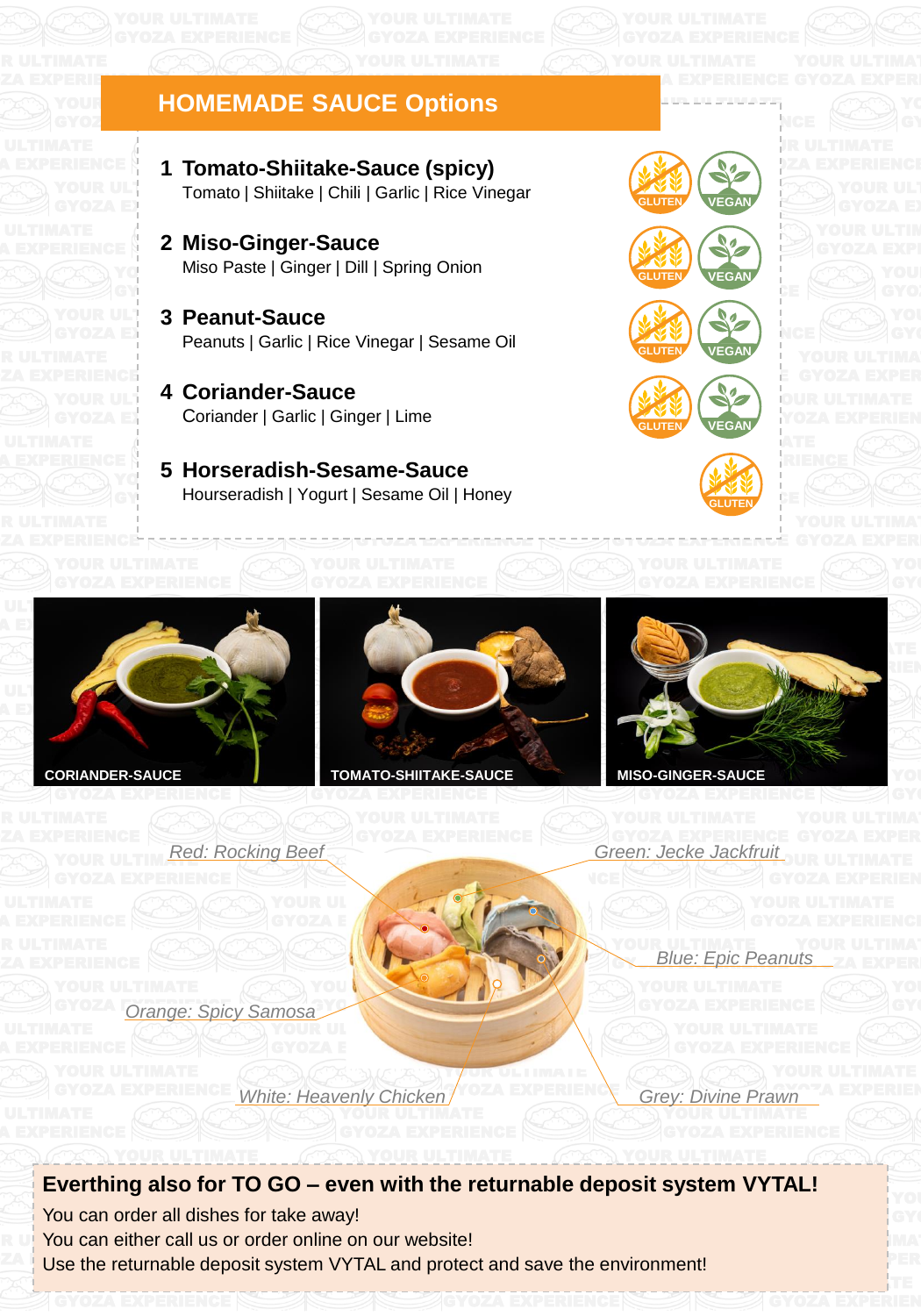#### YOUR HOMEMADE SAUCE Opti GYOZ**A EXPERIENCE HOMEMADE SAUCE Options**

YOUR ULTIMATE Tomato | Shiitake | Chili | Garlic | Rice Vinegar GYOZA EXPERIENCE  $\mathcal{G}^{\mathcal{L}}$ **1 Tomato-Shiitake-Sauce (spicy)** 

GYOZA EXPERIENCE

- $\textcolor{red}{\textsf{Y}\textsf{o}}$  Miso Paste | Ginger | Dill | Spring Onion YOUR ULTIMATE 2 Miso-Ginger-Sauce
- YOUR ULTIMATE **3** Peanut-Sauce GYOZA EXPERIENCE Peanuts | Garlic | Rice Vinegar | Sesame Oil YOUR ULTIMATE SERVICE
- YOUR ULTIMATE **4 Coriander-Sauce** GYOZA EX Coriander | Garlic | Ginger | Lime
	- Jieh Cesame Ceu  $\mathbb{F}_q^{\mathbb{N}}$  5 Horseradish-Sesame-Sauce GY EXPERIENCE Hourseradish | Yogurt | Sesame Oil | Honey



YOUR URLING AND GYOZA EXPERIENCE

GYOZA EXPERIENCE







YOUR ULTIMATE WAS GYOZA EXPERIENCE

**GLUTEN**





GY<sub>O</sub>ZA EXPERIENCE

IANDER-SAUCE

ZA EXPERIENCE

ZA EXPERIENCE

ZA EXPERIENCE



GYOZA EXPERIENCE

GYOZA EXPERIENCE

Y**VUR ULTIMATE** 

TOMATO-SHIITAKI **CORIANDER-SAUCE TOMATO-SHIITAKE-SAUCE MISO-GINGER-SAUCE**

> WE WANT TO BE A REAL PROPERTY. W. GYOZANIA



YOUR ULTIMATE *Red: Rocking Beef*

YOUR ULTIMATE SERVICE **"L**OUR ULTIMATE *Green: Jecke Jackfruit*

> YOUR ULTIMATE **GYOZA ENGLE EDIC Pean** Its\_ZA EXPER *Blue: Epic Peanuts*

YOUR ULTIMATE GYOZA Orange: Spicy Samosa GYOZA EXPERIENCE

> YOUR ULTIMATE GYVOZA EXPERIENCE *White: Heavenly Chicken* **Grey: Divine Praynchic Chicken**

GYOZA EXPERIENCE

YOUR SALE

YOUR ULTIMATE GYOZA E // WAX

GYOZA EXPERIEN

YOUR ULTIMATE

YOUR ULTIMAT GYOZA EXPERIENCE

YOUR ULTIMATE

## your ultimate workers and the community of the community deposit of order  $\alpha$ Everthing also for TO GO - even with the returnable deposit system VYTAL!

You can order all dishes for take away! **THE You can either call us or order online on our website!** EXPERIENCE Use the returnable deposit system VYTAL and protect and save the environment!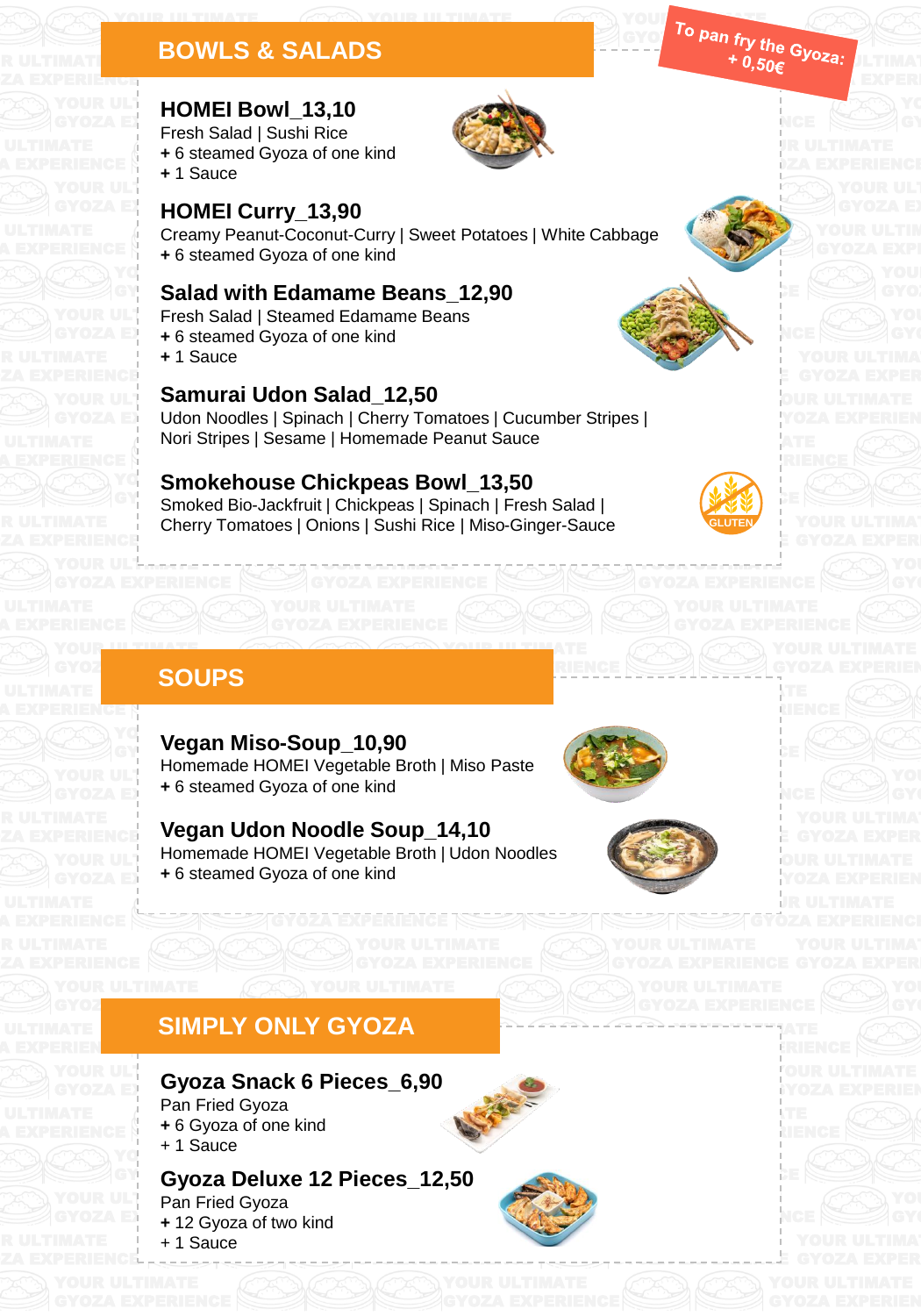#### YOUR ULTIMATE **BOWLS & SALADS** GYOZA EXPERIENCE

# YOUR ULTIMATE **HOMEI Bowl\_13,10**

YOUR ULTIMATE  $\frac{1}{2}$  of ang kind **+** 6 steamed Gyoza of one kind<br>. 4 Seuse  $GYOZA EY$  Fresh Salad | Sushi Rice **+** 1 Sauce



GYOZA EXPERIENCE

YOUR ULTIMATE

## Creamy Peanut-Coconut-Curry | Sweet Potatoes | White Cabbage + 6 steamed Gyoza of one kind **GYOZA EXPERIGIONEL Curry\_13,90**

## YOUR ULTIMATE OF THE STATE OF THE STATE OF THE STATE OF THE STATE OF THE STATE OF THE STATE OF THE STATE OF TH **GY** Salad with Edamame Beans\_12,90

YOUR UL<sup>T</sup> Fresh Salad | Steamed Edamame Beans

- **GYOZA EXPERIENCE** + 6 steamed Gyoza of one kind
	- **+** 1 Sauce

YOUR ULTIMATE

ZA EXPERIENCE

ZA EXPERIENCE

ZA EXPERIENCE

A EXPERIEN**ce** 

ZA EXPERIENCE

A EXPERIENCE

R ULTIMATE ZA EXPERIE<mark>nce</mark>

# YOUR ULTIMATE **Samurai Udon Salad\_12,50**

Nori Stripes | Sesame | Homemade Peanut Sauce GYOZA EXPERIENCY Udon Noodles | Spinach | Cherry Tomatoes | Cucumber Stripes |

# **YOURGE Smokehouse Chickpeas Bowl\_13,50**

S I Sushi Rice I Mise GYOZA EXPERIENCE GY Smoked Bio-Jackfruit | Chickpeas | Spinach | Fresh Salad | Cherry Tomatoes | Onions | Sushi Rice | Miso-Ginger-Sauce **GLUTEN**

YOUR ULTIMATE A SERVICE

GYOZA EXPERIENCE

GYOZA EXPERIENCE

YOUR ULTIMATE

YOUR ULTIMATE Gyorge Charles Charles

YOUR ULTIMATE GYOZA EXPERIENCE



YOUR ULTIMATE GYOZA EXPERIENCE

GYOZA EXPERIENCE

YOUR ULTIMATE GYOZA EXPERIENCE

YOUR ULTIMATE GRIENCE

GYOZA EXPERIENCE

GYOZA ELEKTROLOGIAK ETA ELEKTROLOGIAK ETA ELEKTROLOGIAK ETA ELEKTROLOGIAK ETA ELEKTROLOGIAK ETA ELEKTROLOGIAK

YOUR ULTIMATE

YOUR ULTIMATE PARAMETER

YOUR WARRY GYOZA EXPERIENCE

GYOZA EXPERIENCE

<sup>-yo</sup>za: <u>Jethaa</u> GYOZA EXPERI

YR ULTIMATE DZA EXPERIENCE

> **POUR ULTIMATE** YOZA EXPERIEN

> **JOUR ULTIMATE** YOZA EXPERIEN

YOUR ULTIMATE **iYOZA EXPERIEN** 

UR ULTIMATE **GYOZA EXPERIENCE** 

YOUR ULTIMATE SERVICE GYOZA EXPERIENCE

 $\rightarrow$  0. GYOZA EXPERIENCE

YOUR THE ULTIMATE  $G'$ <sup>u</sup> Pan fr<sub>v</sub> the  $\blacksquare$ 

YOUR ULTIMATE GYOZA EXPERIENCE

# **GYOZ** SOUPS

YOUR ULTIMATE

YOUR UL<del>'Immeri</del>

YOUR ULTIMATE **GYOZA EXPERIENCE** + 6 steamed Gyoza of one kind  $\frac{1}{2}$  $Y^{\mathbb{C}}$  Vessa Mi **GY YGYAH MISO-Vegan Miso-Soup\_10,90**  $\sigma$ ,  $\sigma$ Homemade HOMEI Vegetable Broth | Miso Paste

 $\sim$   $\sqrt{1148}$ Vegan Udon Noodle Soup\_14,10 YOUR ULTIMATE HOMEI Vegetable Broth | Udon Noodles **GYOZA**  $\mathbb{R}^{\mathbb{N}}$  + 6 steamed Gyoza of one kind

GYOZA EXPERIENCE





## **SIMPLY ONLY GYOZA** GYOZA EXPERIENCE GYOZ**A EXPERIENCE**

#### YOUR ULTIMATE Gyoza Snack 6 Pieces\_6,90 YOUR ULTIMATE WAS ARRESTED FOR GYOZA EXPERIENCE Pan Fried Gyoza

 $\begin{bmatrix} 1 \\ 1 \end{bmatrix}$  + 1 Sauce **+** 6 Gyoza of one kind

# Gyoza Deluxe 12 Pieces\_12,50

YOUR ULT Pan Fried Gyoza **GYOZA EXPERIENCE** + 12 Gyoza of two kind + 1 Sauce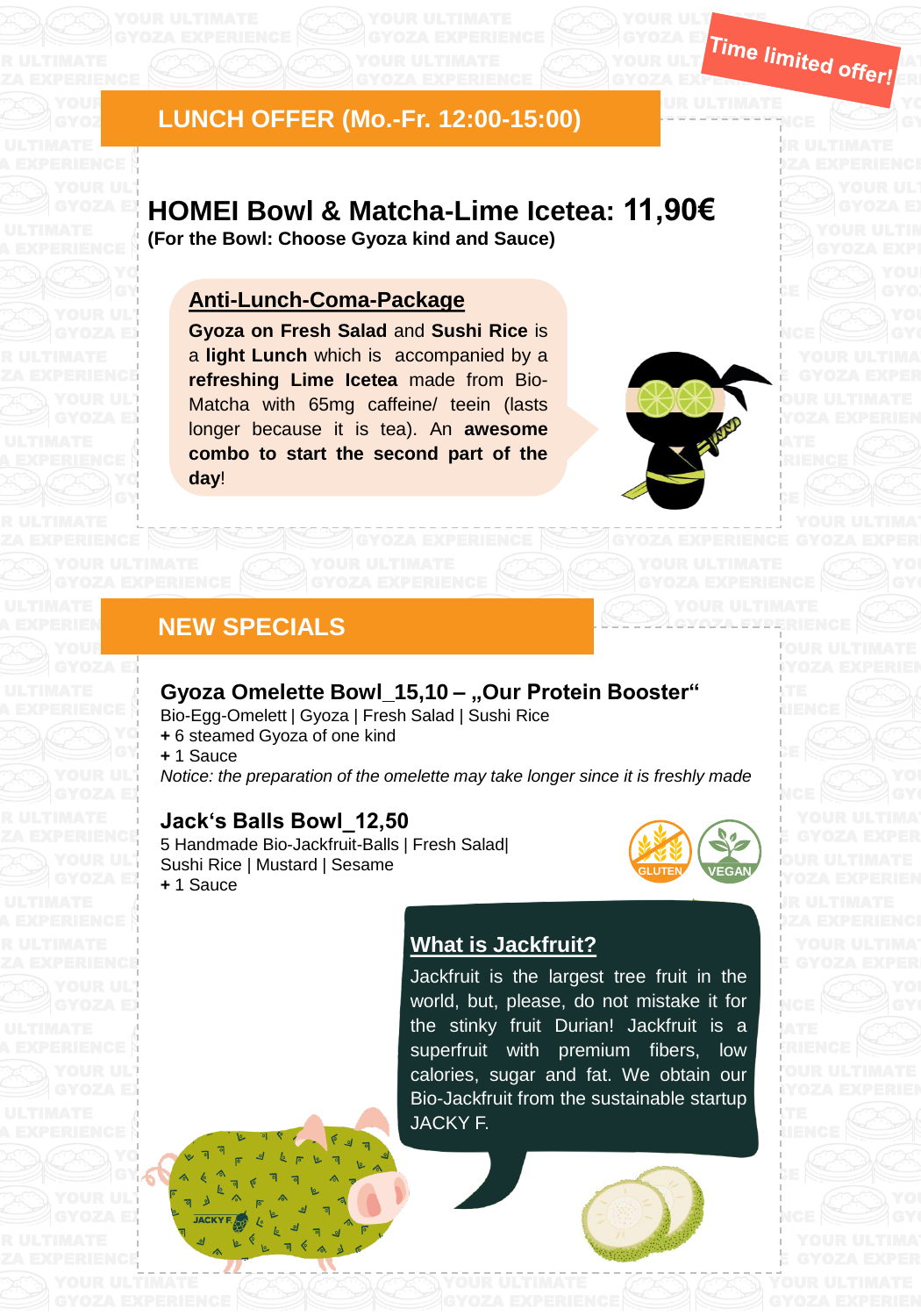#### YOUR ULTIMATE GYOZ LUNCI YOUR ULTIMATE **LUNCH OFFER (Mo.-Fr. 12:00-15:00)**

# GYOZA EXPERIENCE GYOZA EXPERIENCE **HOMEI Bowl & Matcha-Lime Icetea: 11,90€**

 $\sim$  Cyczo kind one (For the Bowl: Choose Gyoza kind and Sauce)

YOUR ULTIMATE WAS CITED FOR DRIVING.

#### YOUR ULTIMATE <u>Your Ultimate State</u> **Anti-Lunch-Coma-Package**

GYOZA **EXPERIENCE Gyoza on Fresh Salad** and Sushi Rice is a light Lunch which is accompanied by a refreshing Lime Icetea made from Bio- $\frac{1}{2}$   $\frac{1}{2}$   $\frac{1}{2}$   $\frac{1}{2}$   $\frac{1}{2}$   $\frac{1}{2}$   $\frac{1}{2}$   $\frac{1}{2}$   $\frac{1}{2}$   $\frac{1}{2}$   $\frac{1}{2}$   $\frac{1}{2}$   $\frac{1}{2}$   $\frac{1}{2}$   $\frac{1}{2}$   $\frac{1}{2}$   $\frac{1}{2}$   $\frac{1}{2}$   $\frac{1}{2}$   $\frac{1}{2}$   $\frac{1}{2}$   $\frac{1}{2}$  GYOZA EXPERIENCE **combo to start the second part of the** YOUR ULTIMATE GYOZA EXPERIENCE THE LONGIT COMPLETE CONSUMING THE SERVICE OF A LONGITUDE OF A LONGITUDE OF A LONGITUDE OF A LONGITUDE OF A LONGITUDE OF A LONGITUDE OF A LONGITUDE OF A LONGITUDE OF A LONGITUDE OF A LONGITUDE OF A LONGITUD Matcha with 65mg caffeine/ teein (lasts YO<mark>leday!</mark>



GYOZA EXPERIENCE

GYOZA EXPERIENCE

**YUR ULTIMATE** GYOZA EXPERIENCE

 $\theta$  difference that **GYLIGNIEN** 

JR ULTIMATE GYOZA EXPERIENCE

> YOUR ULTIMATE GYOZA EXPERIEN

**YOUR ULTIMATE GYPERIENCE** 

> YOUR ULTIMATE GYOZA EXPERIEN

YOUR ULT $\blacksquare$ GYOZA EXPERIENCE

YOUR ULTER THE GYOZA EXP $_{\text{7}}$ 

# **NEW SPECIALS**

### **Gyoza Omelette Bowl\_15,10 – "Our Protein Booster"** GYOZA EXPERIENCE

YOUR ULTIMATE

Bio-Egg-Omelett | Gyoza | Fresh Salad | Sushi Rice

**YOU + 6 steamed Gyoza of one kind** 

GY<sub>1</sub> + 1 Sauce

GY CONTROLLER

YOUR ULTIMATE GYOZA EXPERIENCE

YOUR ULTIMATE GYOZA EXPERIENCE

YOUR ULTIMATE GYOZA EXPERIENCE

YOUR ULTIMATE GYOZA EXPERIENCE

YOUR ULTIMATE

YOUR ULTIMATE

ZA EXPERIENCE

ZA EXPERIENCE

ZA EXPERIENCE

ZA EXPERIENCE

A EXPERIEN**ce** 

YOUR ULT Motice: the *preparation* of the omelette may take longer since it is freshly made GYOZA EXPERIENCE GYOZA EXPERIENCE

# Jack's Balls Bowl\_12,50

5 Secret - Electro III Carolina, Carolina e III<br>5 Handmade Bio-Jackfruit-Balls | Fresh Salad| YOUR ULT Sushi Rice | Mustard | Sesame YOUR ULTIMATE SERVICE

> YOUR ULTIMATE GYOZA EXPERIENCE

> > **YOUR WARDEN**  $\theta$

> > > $\mathcal{Y}$ GYOZA EXPERIENCE

YOUR ULTIMATE SERVICE SERVICE SERVICE SERVICE SERVICE SERVICE SERVICE SERVICE SERVICE SERVICE SERVICE SERVICE GYOZA EXPERIENCE

GYOZA **EXPERIENCE** + 1 Sauce

YOUR VERSION  $GY_1 \cap Y_2 \neq \emptyset$ 



 $Y = Y$ GYOZA EXPERIENCE

YOUR ULTIMATE WAS SERVED ON A 200 GYOZA EXPERIENCE

YOUR ULTIMATE SERVICE GYOZA EXPERIENCE EN EL ESPERANT EN EL ESPERANT EN EL ESPERANT EN EL ESPERANT EN EL ESPERANT EN EL ESPERANT EN<br>El esperant en el esperant en el esperant en el esperant en el esperant en el esperant en el esperant en el es

GYOZA EXPERIENCE

GYOZA EYPERIENCE

# **K** <u>What is Jackfruit?</u>

YOUR ULTIMATE WAS ARRESTED FOR

YOUR ULTIMATE JACKY F. calories, sugar and fat. We obtain our Bio-Jackfruit from the sustainable startup YOUR ULTIMATE SERVICE superfruit with premium fibers, low YOUR THE TOTAL TO THE TOTAL THE TELL world, but, please, do not mistake it for GYOZA EXPERIENCE EXPERIENCE YOUR ULTIMATE GYOZA EXPERIENCE the stinky fruit Durian! Jackfruit is a Jackfruit is the largest tree fruit in the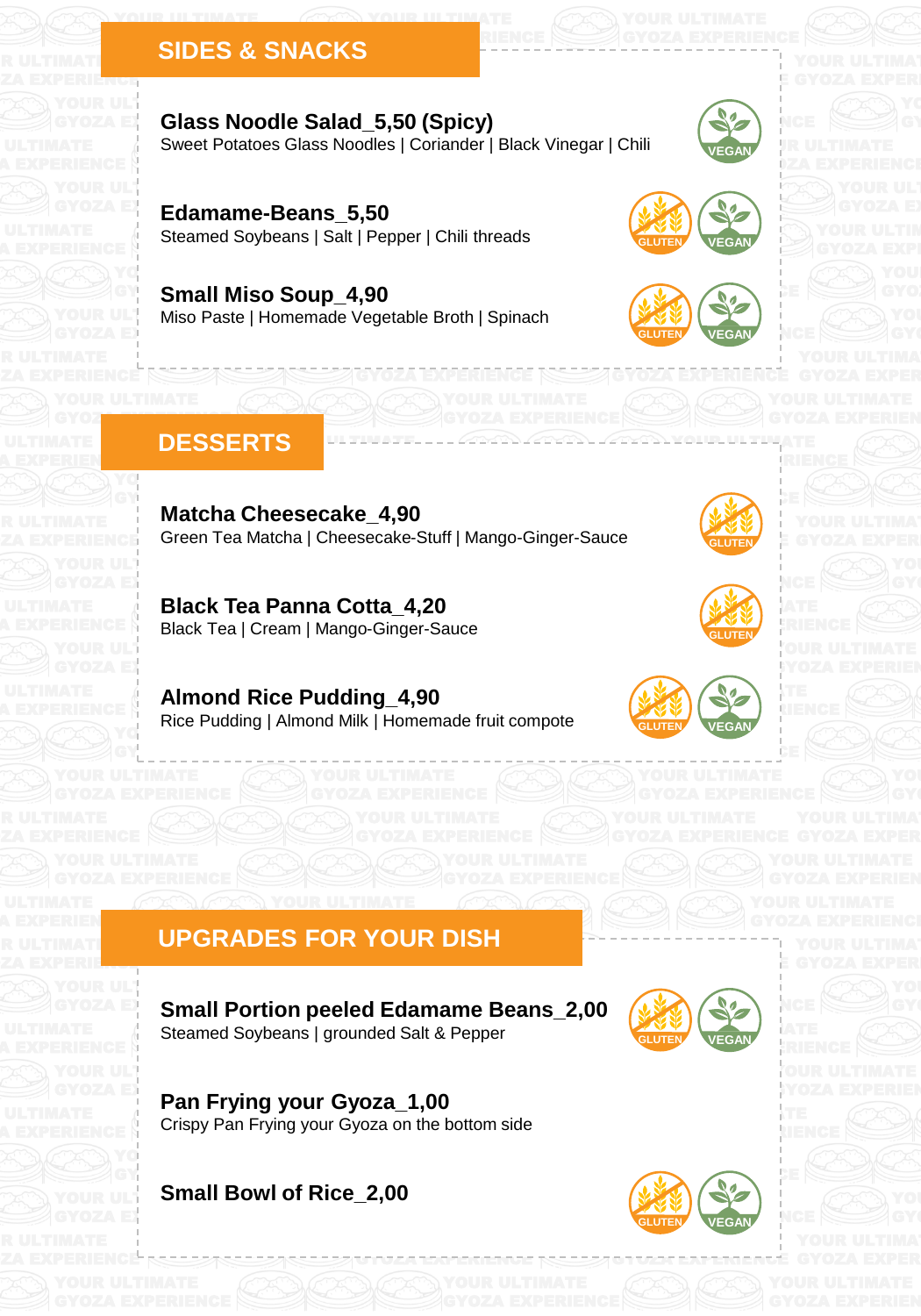## YOUR ULTIMATE SERVICE **SIDES & SNACKS**

YOUR ULTIMATE

## Sweet Potatoes Glass Noodles | Coriander | Black Vinegar | Chili YOUR ULTIMATE GYOZA E**XPERIENCES Noodle Salad\_5,50 (Spicy)**

alt | Penner | Chili th Steamed Soybeans | Salt | Pepper | Chili threads YOUR ULTIMATE GYOZA **EXPERIENCE Edamame-Beans\_5,50** 

## YOUR ULTIMiso Paste | Homemade Vegetable Broth | Spinach YOUR ULTIMATE OF THE ULTIMATE **GY Small Miso Soup\_4,90**



**GLUTEN VEGAN**

**GLUTEN**

GYOZA EXPERIENCE

YOUR ULTIMATE GLUTEN VEGAN NGE

**VEGAN**

 $\sqrt{d}$ 





### DESSERTS **WELLET** GYOZA EXPERIENCE

YOUR ULTIMATE OF THE ULTIMATE

GY<sub>C</sub>

GYOZA EXPERIENCE

GYOZ**A EXPERIENCE** 

GYOZA EXPERIENCE

GYOZA EXPERIENCE

YOUR ULTIMATE

YOUR ULTIMATE GYOZA EXPERIENCE

A EXPERIENCE

ZA EXPERIENCE

A EXPERIEN**ce** 

R ULTIMATE ZA EXPERIENCE

ZA EXPERIENCE

R ULTIMATE ZA EXPERIE<mark>nce</mark>

> Matcha Cheesecake\_4,90 Green Tea Matcha | Cheesecake-Stuff | Mango-Ginger-Sauce GYOZA EXPERIENCE

GYOZA EXPERIENCE

GYOZA EXPERIENCE

YOUR ULTIMATE GYOZA EXPERIENCE

YOUR ULTIMATE **Black Tea Panna Cotta\_4,20** Black Tea | Cream | Mango-Ginger-Sauce

> YG Almond Rice Pudding\_4,90 Purrictive Trice Teading Trice<br>Rice Pudding | Almond Milk | Homemade fruit compote



YOUR ULTIMATE GYOZA EXPERIENCE





### GLUTEN VEGAN YOUR ULTIMATE **GYOLA EXPERIENCE GLUTEN VEGAN**

GYOZA EXPERIENCE

# UPGRADES FOR YOUR DISH

YOUR ULTIMATE

Steamed Soybeans | grounded Salt & Pepper **CELUTEN AREAD**  $\overline{\phantom{a}}$ YOUR ULTIMATE GYOZA **EXPERIENCE Small Portion peeled Edamame Beans\_2,00** 

GYOZA EXPERIENCE

 $G_{\rm{G}}$  experience  $G_{\rm{G}}$  is a set of  $G$  experience of  $G$ 



-------------



 $i$ YOZA EXPERIEN

 $\sim$ your  $\sim$ Crispy Pan Frying your Gyoza on the bottom side YOUR ULTIMATE **GYOZA EX**<br>Referred: Pan Frying your Gyoza\_1,00  $\mathbf{G}$ 

YOUR ULTIMATE SMAIL BOWL OF RICE\_Z,UU GY<sub>O</sub>ZA EXPERIENCE **Small Bowl of Rice\_2,00** 



YOUR ULTIMATE **GYOZA EXPERIENCE** 

GYOZA EXPERIENCE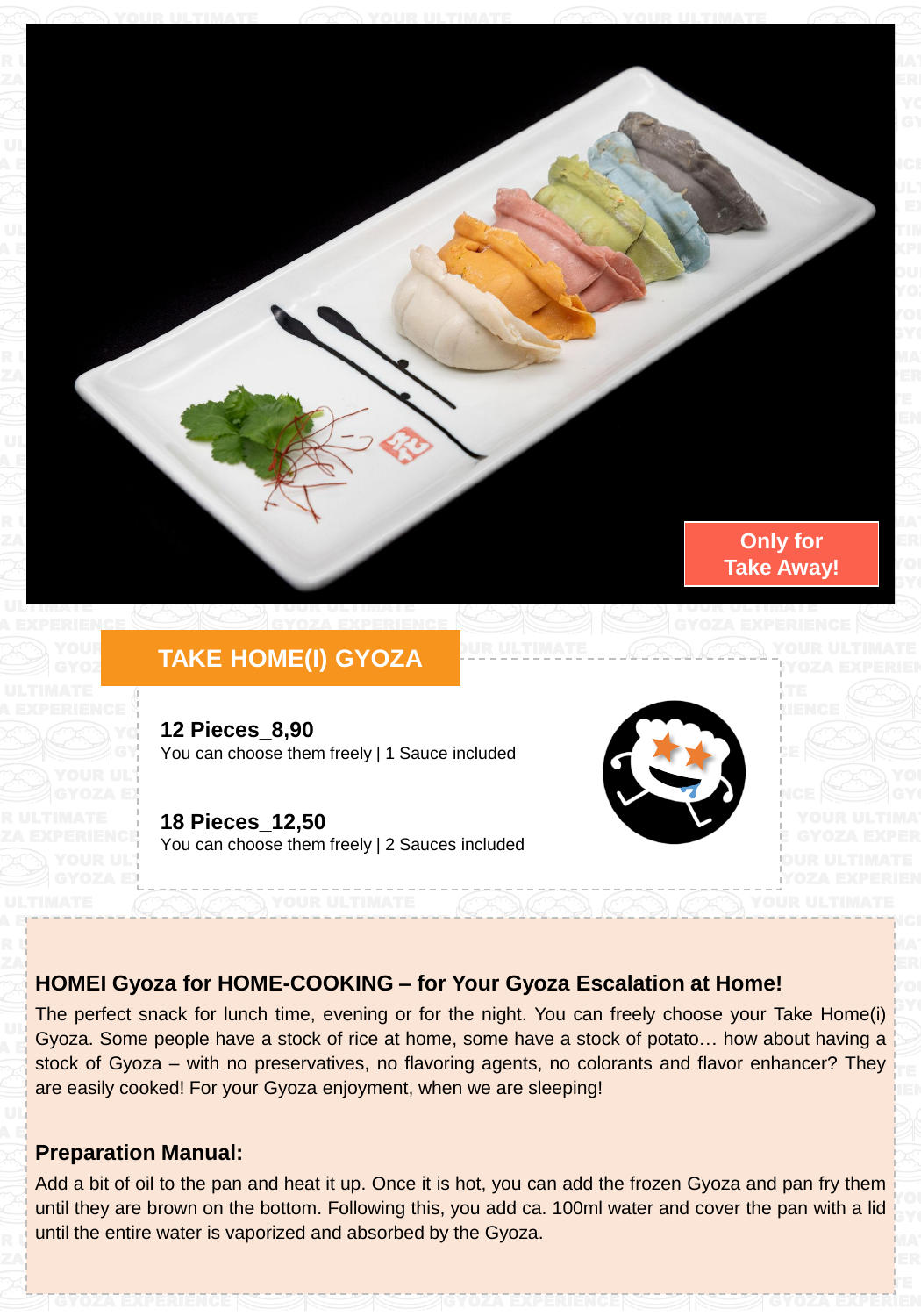

### YOUR TAL **EXPERIENCE HOME(I) GYOZA**

**12 Pieces\_8,90**  $\blacksquare$  You can choose them freely | 1 Sauce included

GYOZA EXPERIENCE

You can choose them freely | 2 Sauces included YOUR ULTIMATE **18 Pieces\_12,50**

GYOZA EXPERIENCE



YOUR ULTIMATE **iyoza Experien** 

GYOZA EXPERIENCE

YOUR ULTIMAT GYOZA EXPERIENCE

> YO. GY.

> iyo. **BY**

GYOZA EXPERIENCE

YOUR ULTIMATE GYOZA EXPERIEN

 $\gamma$ YOZA EXPERIEN

## **HOMEI Gyoza for HOME-COOKING - for Your Gyoza Escalation at Home!**  $\mathbf{Z}\mathbf{A}$  experimental experimental

YOUR ULTIMATE WAS CITED FOR DRIVING.

**POUR ULTIMATE** GYOZA EXPERIENCE

stock of Gyoza – with no preservatives, no flavoring agents, no colorants and flavor enhancer? They are easily cooked! For your Gyoza enjoyment, when we are sleeping!  $U\cup_{\alpha\ldots\alpha}$  $\blacksquare$  Expoza. Sor  $\frac{y}{\sqrt{1 + \left(1 + \frac{y}{x}\right)^2}}$  $\overline{\phantom{a}}$  SIOCK OF HCC at HOME The perfect snack for lunch time, evening or for the night. You can freely choose your Take Home(i) GYOZA EXPERIENCE  $\sim$ Gyoza. Some people have a stock of rice at home, some have a stock of potato… how about having a

# **Preparation Manual:**

GYOZA EXPERIENCE

YOUR ULTIMATE GYOZA EXPERIENCE

GYOZA EXPERIENCE

ZA EXPERIENCE

A EXPERIEN<u>ce</u>

A E<del>xperience</del>

RUS ULTIMATE

YOUR ULTIMATE AE EXPERIENCE

 $\mathbf{Z}\mathbf{A}$  experience

YOUR ULTIMATE IN THE ULTIMATE IN THE ULTIMATE IN THE ULTIMATE IN THE ULTIMATE IN THE ULTIMATE IN THE ULTIMATE IN  $G(x)$  and  $G(x)$  and  $G(x)$  $\overline{\phantom{a}}$   $\overline{\phantom{a}}$   $\overline{\phantom{a}}$   $\overline{\phantom{a}}$   $\overline{\phantom{a}}$   $\overline{\phantom{a}}$  $\pi$  is a concerning time, you  $\sim$ until they are brown on the bottom. Following this, you add ca. 100ml water and cover the pan with a lid  $\mathbb{R}^n$  until the entire water is vaporized and absorbed by the Gyoza. Add a bit of oil to the pan and heat it up. Once it is hot, you can add the frozen Gyoza and pan fry them YOUR ULTIMATE

GYOZA EXPERIENCE